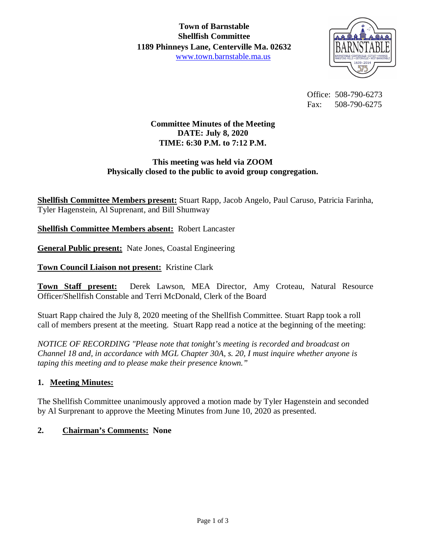

 Office: 508-790-6273 Fax: 508-790-6275

# **Committee Minutes of the Meeting DATE: July 8, 2020 TIME: 6:30 P.M. to 7:12 P.M.**

### **This meeting was held via ZOOM Physically closed to the public to avoid group congregation.**

**Shellfish Committee Members present:** Stuart Rapp, Jacob Angelo, Paul Caruso, Patricia Farinha, Tyler Hagenstein, Al Suprenant, and Bill Shumway

**Shellfish Committee Members absent:** Robert Lancaster

**General Public present:** Nate Jones, Coastal Engineering

**Town Council Liaison not present:** Kristine Clark

**Town Staff present:** Derek Lawson, MEA Director, Amy Croteau, Natural Resource Officer/Shellfish Constable and Terri McDonald, Clerk of the Board

Stuart Rapp chaired the July 8, 2020 meeting of the Shellfish Committee. Stuart Rapp took a roll call of members present at the meeting. Stuart Rapp read a notice at the beginning of the meeting:

*NOTICE OF RECORDING "Please note that tonight's meeting is recorded and broadcast on Channel 18 and, in accordance with MGL Chapter 30A, s. 20, I must inquire whether anyone is taping this meeting and to please make their presence known."*

### **1. Meeting Minutes:**

The Shellfish Committee unanimously approved a motion made by Tyler Hagenstein and seconded by Al Surprenant to approve the Meeting Minutes from June 10, 2020 as presented.

### **2. Chairman's Comments: None**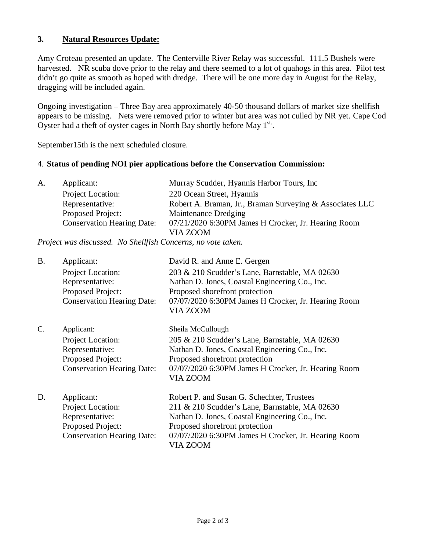### **3. Natural Resources Update:**

Amy Croteau presented an update. The Centerville River Relay was successful. 111.5 Bushels were harvested. NR scuba dove prior to the relay and there seemed to a lot of quahogs in this area. Pilot test didn't go quite as smooth as hoped with dredge. There will be one more day in August for the Relay, dragging will be included again.

Ongoing investigation – Three Bay area approximately 40-50 thousand dollars of market size shellfish appears to be missing. Nets were removed prior to winter but area was not culled by NR yet. Cape Cod Oyster had a theft of oyster cages in North Bay shortly before May  $1^{st}$ .

September15th is the next scheduled closure.

#### 4. **Status of pending NOI pier applications before the Conservation Commission:**

| A. | Applicant:                        | Murray Scudder, Hyannis Harbor Tours, Inc.               |
|----|-----------------------------------|----------------------------------------------------------|
|    | Project Location:                 | 220 Ocean Street, Hyannis                                |
|    | Representative:                   | Robert A. Braman, Jr., Braman Surveying & Associates LLC |
|    | Proposed Project:                 | Maintenance Dredging                                     |
|    | <b>Conservation Hearing Date:</b> | 07/21/2020 6:30PM James H Crocker, Jr. Hearing Room      |
|    |                                   | VIA ZOOM                                                 |

*Project was discussed. No Shellfish Concerns, no vote taken.*

| <b>B.</b> | Applicant:<br>Project Location:<br>Representative:<br>Proposed Project:<br><b>Conservation Hearing Date:</b> | David R. and Anne E. Gergen<br>203 & 210 Scudder's Lane, Barnstable, MA 02630<br>Nathan D. Jones, Coastal Engineering Co., Inc.<br>Proposed shorefront protection<br>07/07/2020 6:30PM James H Crocker, Jr. Hearing Room<br>VIA ZOOM                |
|-----------|--------------------------------------------------------------------------------------------------------------|-----------------------------------------------------------------------------------------------------------------------------------------------------------------------------------------------------------------------------------------------------|
| C.        | Applicant:<br>Project Location:<br>Representative:<br>Proposed Project:<br><b>Conservation Hearing Date:</b> | Sheila McCullough<br>205 & 210 Scudder's Lane, Barnstable, MA 02630<br>Nathan D. Jones, Coastal Engineering Co., Inc.<br>Proposed shorefront protection<br>07/07/2020 6:30PM James H Crocker, Jr. Hearing Room<br>VIA ZOOM                          |
| D.        | Applicant:<br>Project Location:<br>Representative:<br>Proposed Project:<br><b>Conservation Hearing Date:</b> | Robert P. and Susan G. Schechter, Trustees<br>211 & 210 Scudder's Lane, Barnstable, MA 02630<br>Nathan D. Jones, Coastal Engineering Co., Inc.<br>Proposed shorefront protection<br>07/07/2020 6:30PM James H Crocker, Jr. Hearing Room<br>VIA ZOOM |